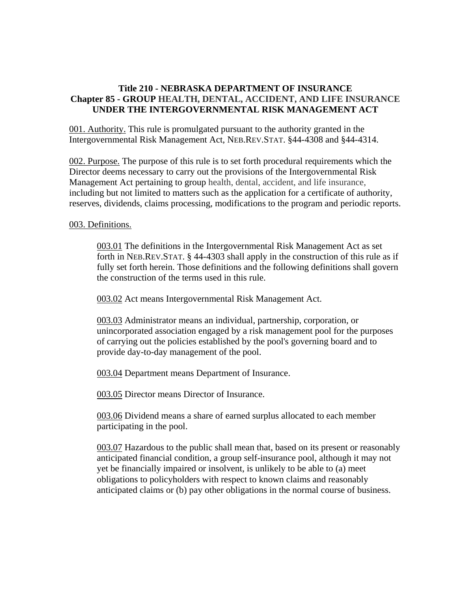# **Title 210 - NEBRASKA DEPARTMENT OF INSURANCE Chapter 85 - GROUP HEALTH, DENTAL, ACCIDENT, AND LIFE INSURANCE UNDER THE INTERGOVERNMENTAL RISK MANAGEMENT ACT**

001. Authority. This rule is promulgated pursuant to the authority granted in the Intergovernmental Risk Management Act, NEB.REV.STAT. §44-4308 and §44-4314.

002. Purpose. The purpose of this rule is to set forth procedural requirements which the Director deems necessary to carry out the provisions of the Intergovernmental Risk Management Act pertaining to group health, dental, accident, and life insurance, including but not limited to matters such as the application for a certificate of authority, reserves, dividends, claims processing, modifications to the program and periodic reports.

## 003. Definitions.

003.01 The definitions in the Intergovernmental Risk Management Act as set forth in NEB.REV.STAT. § 44-4303 shall apply in the construction of this rule as if fully set forth herein. Those definitions and the following definitions shall govern the construction of the terms used in this rule.

003.02 Act means Intergovernmental Risk Management Act.

003.03 Administrator means an individual, partnership, corporation, or unincorporated association engaged by a risk management pool for the purposes of carrying out the policies established by the pool's governing board and to provide day-to-day management of the pool.

003.04 Department means Department of Insurance.

003.05 Director means Director of Insurance.

003.06 Dividend means a share of earned surplus allocated to each member participating in the pool.

003.07 Hazardous to the public shall mean that, based on its present or reasonably anticipated financial condition, a group self-insurance pool, although it may not yet be financially impaired or insolvent, is unlikely to be able to (a) meet obligations to policyholders with respect to known claims and reasonably anticipated claims or (b) pay other obligations in the normal course of business.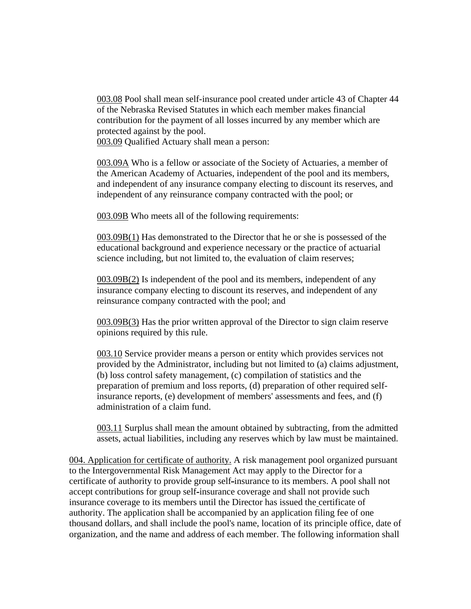003.08 Pool shall mean self-insurance pool created under article 43 of Chapter 44 of the Nebraska Revised Statutes in which each member makes financial contribution for the payment of all losses incurred by any member which are protected against by the pool.

003.09 Qualified Actuary shall mean a person:

003.09A Who is a fellow or associate of the Society of Actuaries, a member of the American Academy of Actuaries, independent of the pool and its members, and independent of any insurance company electing to discount its reserves, and independent of any reinsurance company contracted with the pool; or

003.09B Who meets all of the following requirements:

003.09B(1) Has demonstrated to the Director that he or she is possessed of the educational background and experience necessary or the practice of actuarial science including, but not limited to, the evaluation of claim reserves;

003.09B(2) Is independent of the pool and its members, independent of any insurance company electing to discount its reserves, and independent of any reinsurance company contracted with the pool; and

003.09B(3) Has the prior written approval of the Director to sign claim reserve opinions required by this rule.

003.10 Service provider means a person or entity which provides services not provided by the Administrator, including but not limited to (a) claims adjustment, (b) loss control safety management, (c) compilation of statistics and the preparation of premium and loss reports, (d) preparation of other required selfinsurance reports, (e) development of members' assessments and fees, and (f) administration of a claim fund.

003.11 Surplus shall mean the amount obtained by subtracting, from the admitted assets, actual liabilities, including any reserves which by law must be maintained.

004. Application for certificate of authority. A risk management pool organized pursuant to the Intergovernmental Risk Management Act may apply to the Director for a certificate of authority to provide group self-insurance to its members. A pool shall not accept contributions for group self-insurance coverage and shall not provide such insurance coverage to its members until the Director has issued the certificate of authority. The application shall be accompanied by an application filing fee of one thousand dollars, and shall include the pool's name, location of its principle office, date of organization, and the name and address of each member. The following information shall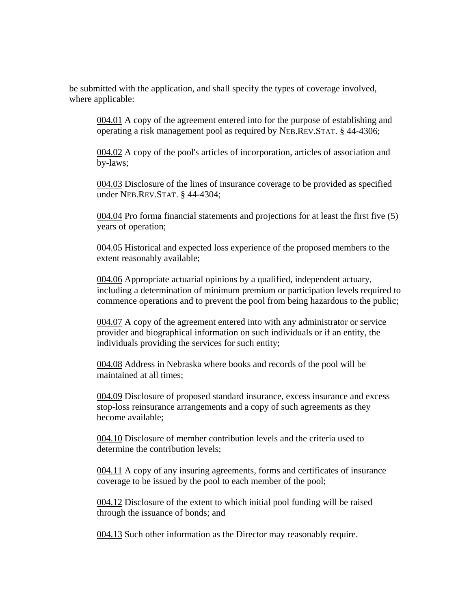be submitted with the application, and shall specify the types of coverage involved, where applicable:

004.01 A copy of the agreement entered into for the purpose of establishing and operating a risk management pool as required by NEB.REV.STAT. § 44-4306;

004.02 A copy of the pool's articles of incorporation, articles of association and by-laws;

004.03 Disclosure of the lines of insurance coverage to be provided as specified under NEB.REV.STAT. § 44-4304;

004.04 Pro forma financial statements and projections for at least the first five (5) years of operation;

004.05 Historical and expected loss experience of the proposed members to the extent reasonably available;

004.06 Appropriate actuarial opinions by a qualified, independent actuary, including a determination of minimum premium or participation levels required to commence operations and to prevent the pool from being hazardous to the public;

004.07 A copy of the agreement entered into with any administrator or service provider and biographical information on such individuals or if an entity, the individuals providing the services for such entity;

004.08 Address in Nebraska where books and records of the pool will be maintained at all times;

004.09 Disclosure of proposed standard insurance, excess insurance and excess stop-loss reinsurance arrangements and a copy of such agreements as they become available;

004.10 Disclosure of member contribution levels and the criteria used to determine the contribution levels;

004.11 A copy of any insuring agreements, forms and certificates of insurance coverage to be issued by the pool to each member of the pool;

004.12 Disclosure of the extent to which initial pool funding will be raised through the issuance of bonds; and

004.13 Such other information as the Director may reasonably require.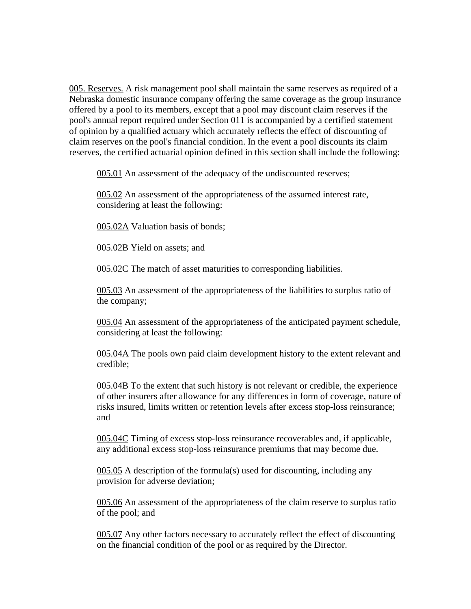005. Reserves. A risk management pool shall maintain the same reserves as required of a Nebraska domestic insurance company offering the same coverage as the group insurance offered by a pool to its members, except that a pool may discount claim reserves if the pool's annual report required under Section 011 is accompanied by a certified statement of opinion by a qualified actuary which accurately reflects the effect of discounting of claim reserves on the pool's financial condition. In the event a pool discounts its claim reserves, the certified actuarial opinion defined in this section shall include the following:

005.01 An assessment of the adequacy of the undiscounted reserves;

005.02 An assessment of the appropriateness of the assumed interest rate, considering at least the following:

005.02A Valuation basis of bonds;

005.02B Yield on assets; and

005.02C The match of asset maturities to corresponding liabilities.

005.03 An assessment of the appropriateness of the liabilities to surplus ratio of the company;

005.04 An assessment of the appropriateness of the anticipated payment schedule, considering at least the following:

005.04A The pools own paid claim development history to the extent relevant and credible;

005.04B To the extent that such history is not relevant or credible, the experience of other insurers after allowance for any differences in form of coverage, nature of risks insured, limits written or retention levels after excess stop-loss reinsurance; and

005.04C Timing of excess stop-loss reinsurance recoverables and, if applicable, any additional excess stop-loss reinsurance premiums that may become due.

005.05 A description of the formula(s) used for discounting, including any provision for adverse deviation;

005.06 An assessment of the appropriateness of the claim reserve to surplus ratio of the pool; and

005.07 Any other factors necessary to accurately reflect the effect of discounting on the financial condition of the pool or as required by the Director.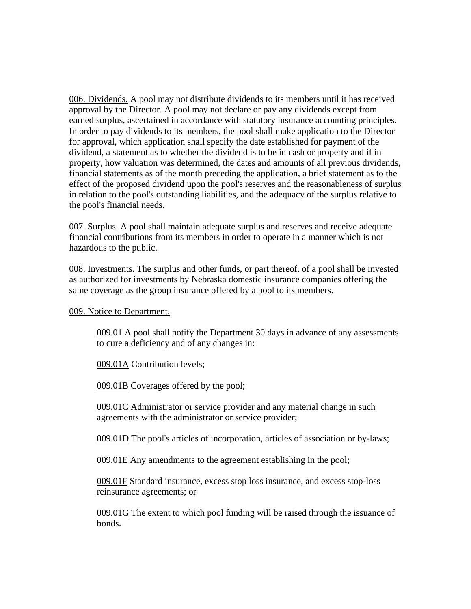006. Dividends. A pool may not distribute dividends to its members until it has received approval by the Director. A pool may not declare or pay any dividends except from earned surplus, ascertained in accordance with statutory insurance accounting principles. In order to pay dividends to its members, the pool shall make application to the Director for approval, which application shall specify the date established for payment of the dividend, a statement as to whether the dividend is to be in cash or property and if in property, how valuation was determined, the dates and amounts of all previous dividends, financial statements as of the month preceding the application, a brief statement as to the effect of the proposed dividend upon the pool's reserves and the reasonableness of surplus in relation to the pool's outstanding liabilities, and the adequacy of the surplus relative to the pool's financial needs.

007. Surplus. A pool shall maintain adequate surplus and reserves and receive adequate financial contributions from its members in order to operate in a manner which is not hazardous to the public.

008. Investments. The surplus and other funds, or part thereof, of a pool shall be invested as authorized for investments by Nebraska domestic insurance companies offering the same coverage as the group insurance offered by a pool to its members.

### 009. Notice to Department.

009.01 A pool shall notify the Department 30 days in advance of any assessments to cure a deficiency and of any changes in:

009.01A Contribution levels;

009.01B Coverages offered by the pool;

009.01C Administrator or service provider and any material change in such agreements with the administrator or service provider;

009.01D The pool's articles of incorporation, articles of association or by-laws;

009.01E Any amendments to the agreement establishing in the pool;

009.01F Standard insurance, excess stop loss insurance, and excess stop-loss reinsurance agreements; or

009.01G The extent to which pool funding will be raised through the issuance of bonds.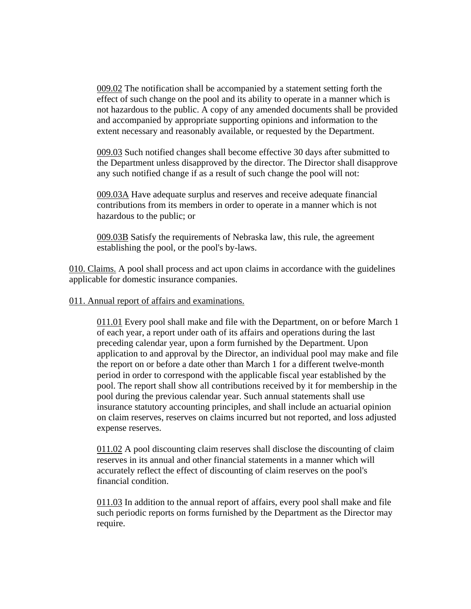009.02 The notification shall be accompanied by a statement setting forth the effect of such change on the pool and its ability to operate in a manner which is not hazardous to the public. A copy of any amended documents shall be provided and accompanied by appropriate supporting opinions and information to the extent necessary and reasonably available, or requested by the Department.

009.03 Such notified changes shall become effective 30 days after submitted to the Department unless disapproved by the director. The Director shall disapprove any such notified change if as a result of such change the pool will not:

009.03A Have adequate surplus and reserves and receive adequate financial contributions from its members in order to operate in a manner which is not hazardous to the public; or

009.03B Satisfy the requirements of Nebraska law, this rule, the agreement establishing the pool, or the pool's by-laws.

010. Claims. A pool shall process and act upon claims in accordance with the guidelines applicable for domestic insurance companies.

## 011. Annual report of affairs and examinations.

011.01 Every pool shall make and file with the Department, on or before March 1 of each year, a report under oath of its affairs and operations during the last preceding calendar year, upon a form furnished by the Department. Upon application to and approval by the Director, an individual pool may make and file the report on or before a date other than March 1 for a different twelve-month period in order to correspond with the applicable fiscal year established by the pool. The report shall show all contributions received by it for membership in the pool during the previous calendar year. Such annual statements shall use insurance statutory accounting principles, and shall include an actuarial opinion on claim reserves, reserves on claims incurred but not reported, and loss adjusted expense reserves.

011.02 A pool discounting claim reserves shall disclose the discounting of claim reserves in its annual and other financial statements in a manner which will accurately reflect the effect of discounting of claim reserves on the pool's financial condition.

011.03 In addition to the annual report of affairs, every pool shall make and file such periodic reports on forms furnished by the Department as the Director may require.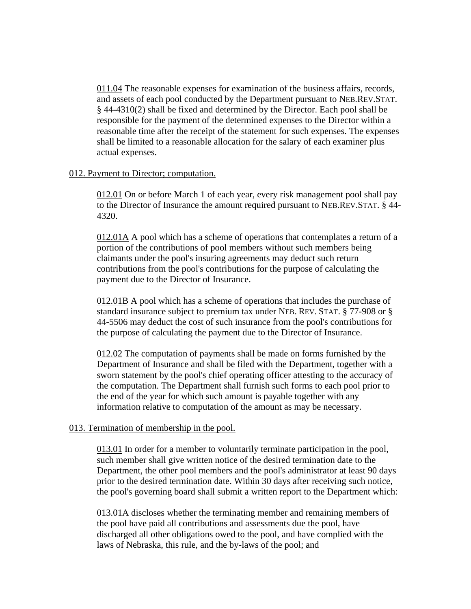011.04 The reasonable expenses for examination of the business affairs, records, and assets of each pool conducted by the Department pursuant to NEB.REV.STAT. § 44-4310(2) shall be fixed and determined by the Director. Each pool shall be responsible for the payment of the determined expenses to the Director within a reasonable time after the receipt of the statement for such expenses. The expenses shall be limited to a reasonable allocation for the salary of each examiner plus actual expenses.

### 012. Payment to Director; computation.

012.01 On or before March 1 of each year, every risk management pool shall pay to the Director of Insurance the amount required pursuant to NEB.REV.STAT. § 44- 4320.

012.01A A pool which has a scheme of operations that contemplates a return of a portion of the contributions of pool members without such members being claimants under the pool's insuring agreements may deduct such return contributions from the pool's contributions for the purpose of calculating the payment due to the Director of Insurance.

012.01B A pool which has a scheme of operations that includes the purchase of standard insurance subject to premium tax under NEB. REV. STAT. § 77-908 or § 44-5506 may deduct the cost of such insurance from the pool's contributions for the purpose of calculating the payment due to the Director of Insurance.

012.02 The computation of payments shall be made on forms furnished by the Department of Insurance and shall be filed with the Department, together with a sworn statement by the pool's chief operating officer attesting to the accuracy of the computation. The Department shall furnish such forms to each pool prior to the end of the year for which such amount is payable together with any information relative to computation of the amount as may be necessary.

### 013. Termination of membership in the pool.

013.01 In order for a member to voluntarily terminate participation in the pool, such member shall give written notice of the desired termination date to the Department, the other pool members and the pool's administrator at least 90 days prior to the desired termination date. Within 30 days after receiving such notice, the pool's governing board shall submit a written report to the Department which:

013.01A discloses whether the terminating member and remaining members of the pool have paid all contributions and assessments due the pool, have discharged all other obligations owed to the pool, and have complied with the laws of Nebraska, this rule, and the by-laws of the pool; and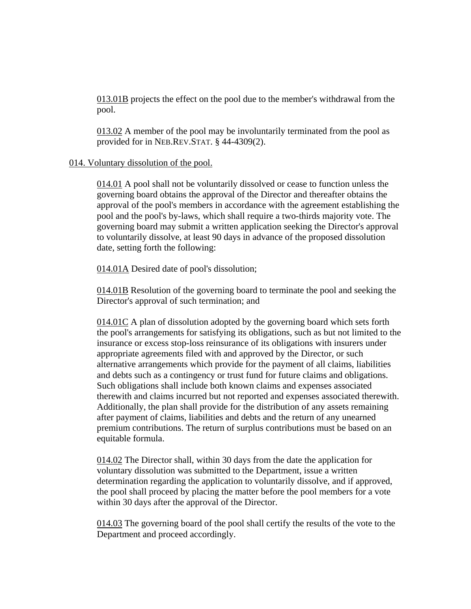013.01B projects the effect on the pool due to the member's withdrawal from the pool.

013.02 A member of the pool may be involuntarily terminated from the pool as provided for in NEB.REV.STAT. § 44-4309(2).

## 014. Voluntary dissolution of the pool.

014.01 A pool shall not be voluntarily dissolved or cease to function unless the governing board obtains the approval of the Director and thereafter obtains the approval of the pool's members in accordance with the agreement establishing the pool and the pool's by-laws, which shall require a two-thirds majority vote. The governing board may submit a written application seeking the Director's approval to voluntarily dissolve, at least 90 days in advance of the proposed dissolution date, setting forth the following:

014.01A Desired date of pool's dissolution;

014.01B Resolution of the governing board to terminate the pool and seeking the Director's approval of such termination; and

014.01C A plan of dissolution adopted by the governing board which sets forth the pool's arrangements for satisfying its obligations, such as but not limited to the insurance or excess stop-loss reinsurance of its obligations with insurers under appropriate agreements filed with and approved by the Director, or such alternative arrangements which provide for the payment of all claims, liabilities and debts such as a contingency or trust fund for future claims and obligations. Such obligations shall include both known claims and expenses associated therewith and claims incurred but not reported and expenses associated therewith. Additionally, the plan shall provide for the distribution of any assets remaining after payment of claims, liabilities and debts and the return of any unearned premium contributions. The return of surplus contributions must be based on an equitable formula.

014.02 The Director shall, within 30 days from the date the application for voluntary dissolution was submitted to the Department, issue a written determination regarding the application to voluntarily dissolve, and if approved, the pool shall proceed by placing the matter before the pool members for a vote within 30 days after the approval of the Director.

014.03 The governing board of the pool shall certify the results of the vote to the Department and proceed accordingly.